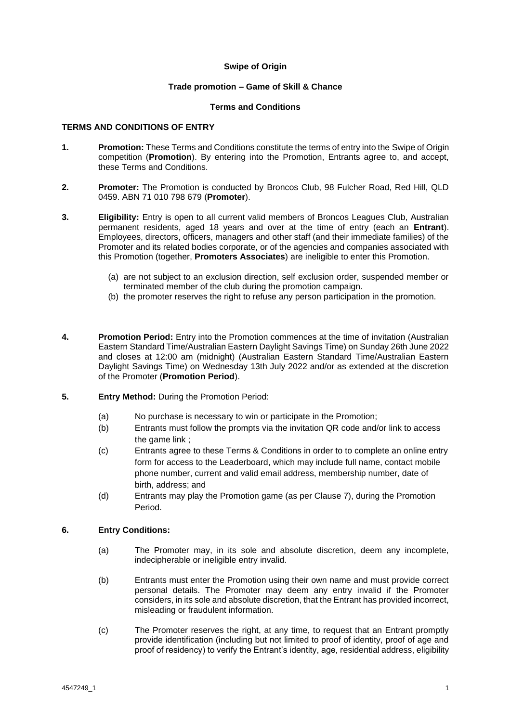## **Swipe of Origin**

### **Trade promotion – Game of Skill & Chance**

### **Terms and Conditions**

## **TERMS AND CONDITIONS OF ENTRY**

- **1. Promotion:** These Terms and Conditions constitute the terms of entry into the Swipe of Origin competition (**Promotion**). By entering into the Promotion, Entrants agree to, and accept, these Terms and Conditions.
- **2. Promoter:** The Promotion is conducted by Broncos Club, 98 Fulcher Road, Red Hill, QLD 0459. ABN 71 010 798 679 (**Promoter**).
- **3. Eligibility:** Entry is open to all current valid members of Broncos Leagues Club, Australian permanent residents, aged 18 years and over at the time of entry (each an **Entrant**). Employees, directors, officers, managers and other staff (and their immediate families) of the Promoter and its related bodies corporate, or of the agencies and companies associated with this Promotion (together, **Promoters Associates**) are ineligible to enter this Promotion.
	- (a) are not subject to an exclusion direction, self exclusion order, suspended member or terminated member of the club during the promotion campaign.
	- (b) the promoter reserves the right to refuse any person participation in the promotion.
- **4. Promotion Period:** Entry into the Promotion commences at the time of invitation (Australian Eastern Standard Time/Australian Eastern Daylight Savings Time) on Sunday 26th June 2022 and closes at 12:00 am (midnight) (Australian Eastern Standard Time/Australian Eastern Daylight Savings Time) on Wednesday 13th July 2022 and/or as extended at the discretion of the Promoter (**Promotion Period**).
- **5. Entry Method:** During the Promotion Period:
	- (a) No purchase is necessary to win or participate in the Promotion;
	- (b) Entrants must follow the prompts via the invitation QR code and/or link to access the game link ;
	- (c) Entrants agree to these Terms & Conditions in order to to complete an online entry form for access to the Leaderboard, which may include full name, contact mobile phone number, current and valid email address, membership number, date of birth, address; and
	- (d) Entrants may play the Promotion game (as per Clause 7), during the Promotion Period.

# **6. Entry Conditions:**

- (a) The Promoter may, in its sole and absolute discretion, deem any incomplete, indecipherable or ineligible entry invalid.
- (b) Entrants must enter the Promotion using their own name and must provide correct personal details. The Promoter may deem any entry invalid if the Promoter considers, in its sole and absolute discretion, that the Entrant has provided incorrect, misleading or fraudulent information.
- (c) The Promoter reserves the right, at any time, to request that an Entrant promptly provide identification (including but not limited to proof of identity, proof of age and proof of residency) to verify the Entrant's identity, age, residential address, eligibility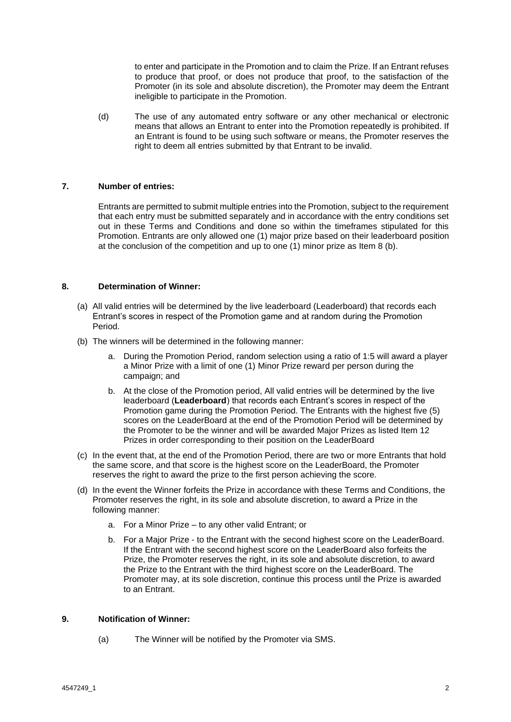to enter and participate in the Promotion and to claim the Prize. If an Entrant refuses to produce that proof, or does not produce that proof, to the satisfaction of the Promoter (in its sole and absolute discretion), the Promoter may deem the Entrant ineligible to participate in the Promotion.

(d) The use of any automated entry software or any other mechanical or electronic means that allows an Entrant to enter into the Promotion repeatedly is prohibited. If an Entrant is found to be using such software or means, the Promoter reserves the right to deem all entries submitted by that Entrant to be invalid.

## **7. Number of entries:**

Entrants are permitted to submit multiple entries into the Promotion, subject to the requirement that each entry must be submitted separately and in accordance with the entry conditions set out in these Terms and Conditions and done so within the timeframes stipulated for this Promotion. Entrants are only allowed one (1) major prize based on their leaderboard position at the conclusion of the competition and up to one (1) minor prize as Item 8 (b).

### **8. Determination of Winner:**

- (a) All valid entries will be determined by the live leaderboard (Leaderboard) that records each Entrant's scores in respect of the Promotion game and at random during the Promotion Period.
- (b) The winners will be determined in the following manner:
	- a. During the Promotion Period, random selection using a ratio of 1:5 will award a player a Minor Prize with a limit of one (1) Minor Prize reward per person during the campaign; and
	- b. At the close of the Promotion period, All valid entries will be determined by the live leaderboard (**Leaderboard**) that records each Entrant's scores in respect of the Promotion game during the Promotion Period. The Entrants with the highest five (5) scores on the LeaderBoard at the end of the Promotion Period will be determined by the Promoter to be the winner and will be awarded Major Prizes as listed Item 12 Prizes in order corresponding to their position on the LeaderBoard
- (c) In the event that, at the end of the Promotion Period, there are two or more Entrants that hold the same score, and that score is the highest score on the LeaderBoard, the Promoter reserves the right to award the prize to the first person achieving the score.
- (d) In the event the Winner forfeits the Prize in accordance with these Terms and Conditions, the Promoter reserves the right, in its sole and absolute discretion, to award a Prize in the following manner:
	- a. For a Minor Prize to any other valid Entrant; or
	- b. For a Major Prize to the Entrant with the second highest score on the LeaderBoard. If the Entrant with the second highest score on the LeaderBoard also forfeits the Prize, the Promoter reserves the right, in its sole and absolute discretion, to award the Prize to the Entrant with the third highest score on the LeaderBoard. The Promoter may, at its sole discretion, continue this process until the Prize is awarded to an Entrant.

# **9. Notification of Winner:**

(a) The Winner will be notified by the Promoter via SMS.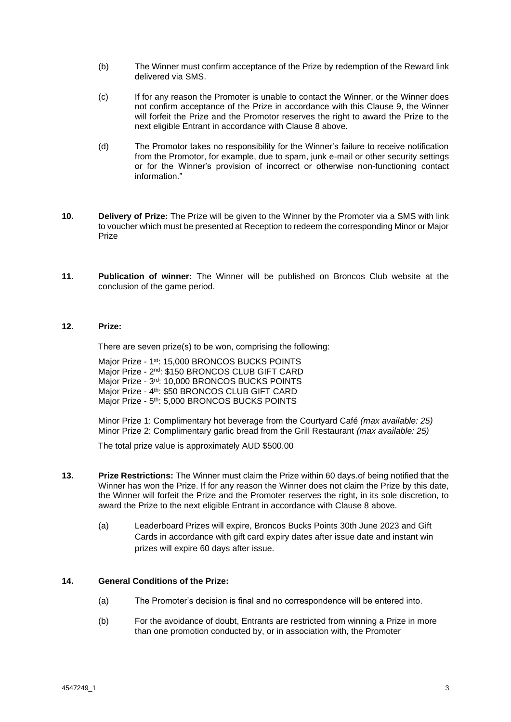- (b) The Winner must confirm acceptance of the Prize by redemption of the Reward link delivered via SMS.
- (c) If for any reason the Promoter is unable to contact the Winner, or the Winner does not confirm acceptance of the Prize in accordance with this Clause 9, the Winner will forfeit the Prize and the Promotor reserves the right to award the Prize to the next eligible Entrant in accordance with Clause 8 above.
- (d) The Promotor takes no responsibility for the Winner's failure to receive notification from the Promotor, for example, due to spam, junk e-mail or other security settings or for the Winner's provision of incorrect or otherwise non-functioning contact information."
- **10. Delivery of Prize:** The Prize will be given to the Winner by the Promoter via a SMS with link to voucher which must be presented at Reception to redeem the corresponding Minor or Major Prize
- **11. Publication of winner:** The Winner will be published on Broncos Club website at the conclusion of the game period.

# **12. Prize:**

There are seven prize(s) to be won, comprising the following:

Major Prize - 1<sup>st</sup>: 15,000 BRONCOS BUCKS POINTS Major Prize - 2<sup>nd</sup>: \$150 BRONCOS CLUB GIFT CARD Major Prize - 3<sup>rd</sup>: 10,000 BRONCOS BUCKS POINTS Major Prize - 4<sup>th</sup>: \$50 BRONCOS CLUB GIFT CARD Major Prize - 5<sup>th</sup>: 5,000 BRONCOS BUCKS POINTS

Minor Prize 1: Complimentary hot beverage from the Courtyard Café *(max available: 25)* Minor Prize 2: Complimentary garlic bread from the Grill Restaurant *(max available: 25)*

The total prize value is approximately AUD \$500.00

- **13. Prize Restrictions:** The Winner must claim the Prize within 60 days*.*of being notified that the Winner has won the Prize. If for any reason the Winner does not claim the Prize by this date, the Winner will forfeit the Prize and the Promoter reserves the right, in its sole discretion, to award the Prize to the next eligible Entrant in accordance with Clause 8 above.
	- (a) Leaderboard Prizes will expire, Broncos Bucks Points 30th June 2023 and Gift Cards in accordance with gift card expiry dates after issue date and instant win prizes will expire 60 days after issue.

## **14. General Conditions of the Prize:**

- (a) The Promoter's decision is final and no correspondence will be entered into.
- (b) For the avoidance of doubt, Entrants are restricted from winning a Prize in more than one promotion conducted by, or in association with, the Promoter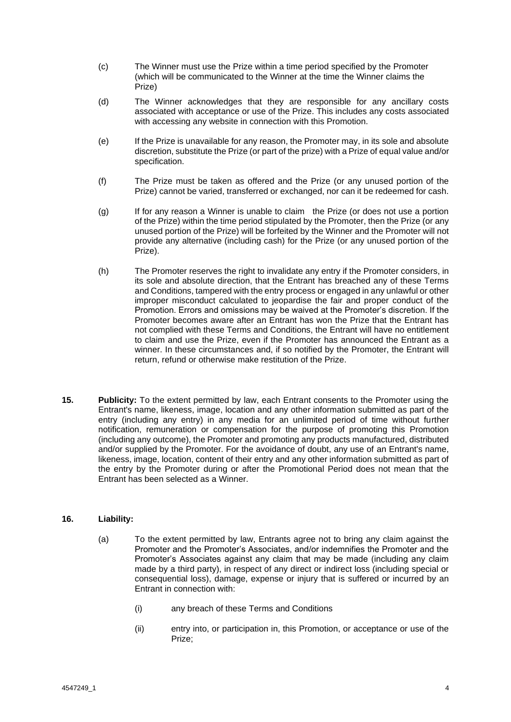- (c) The Winner must use the Prize within a time period specified by the Promoter (which will be communicated to the Winner at the time the Winner claims the Prize)
- (d) The Winner acknowledges that they are responsible for any ancillary costs associated with acceptance or use of the Prize. This includes any costs associated with accessing any website in connection with this Promotion.
- (e) If the Prize is unavailable for any reason, the Promoter may, in its sole and absolute discretion, substitute the Prize (or part of the prize) with a Prize of equal value and/or specification.
- (f) The Prize must be taken as offered and the Prize (or any unused portion of the Prize) cannot be varied, transferred or exchanged, nor can it be redeemed for cash.
- (g) If for any reason a Winner is unable to claim the Prize (or does not use a portion of the Prize) within the time period stipulated by the Promoter, then the Prize (or any unused portion of the Prize) will be forfeited by the Winner and the Promoter will not provide any alternative (including cash) for the Prize (or any unused portion of the Prize).
- (h) The Promoter reserves the right to invalidate any entry if the Promoter considers, in its sole and absolute direction, that the Entrant has breached any of these Terms and Conditions, tampered with the entry process or engaged in any unlawful or other improper misconduct calculated to jeopardise the fair and proper conduct of the Promotion. Errors and omissions may be waived at the Promoter's discretion. If the Promoter becomes aware after an Entrant has won the Prize that the Entrant has not complied with these Terms and Conditions, the Entrant will have no entitlement to claim and use the Prize, even if the Promoter has announced the Entrant as a winner. In these circumstances and, if so notified by the Promoter, the Entrant will return, refund or otherwise make restitution of the Prize.
- **15. Publicity:** To the extent permitted by law, each Entrant consents to the Promoter using the Entrant's name, likeness, image, location and any other information submitted as part of the entry (including any entry) in any media for an unlimited period of time without further notification, remuneration or compensation for the purpose of promoting this Promotion (including any outcome), the Promoter and promoting any products manufactured, distributed and/or supplied by the Promoter. For the avoidance of doubt, any use of an Entrant's name, likeness, image, location, content of their entry and any other information submitted as part of the entry by the Promoter during or after the Promotional Period does not mean that the Entrant has been selected as a Winner.

### **16. Liability:**

- (a) To the extent permitted by law, Entrants agree not to bring any claim against the Promoter and the Promoter's Associates, and/or indemnifies the Promoter and the Promoter's Associates against any claim that may be made (including any claim made by a third party), in respect of any direct or indirect loss (including special or consequential loss), damage, expense or injury that is suffered or incurred by an Entrant in connection with:
	- (i) any breach of these Terms and Conditions
	- (ii) entry into, or participation in, this Promotion, or acceptance or use of the Prize;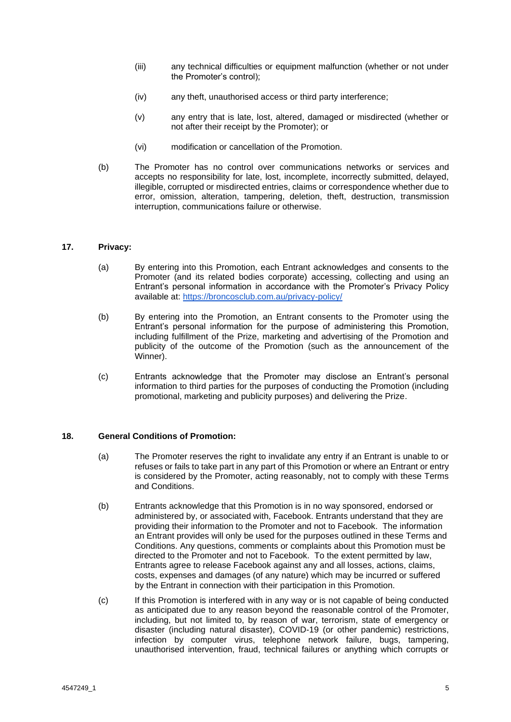- (iii) any technical difficulties or equipment malfunction (whether or not under the Promoter's control);
- (iv) any theft, unauthorised access or third party interference;
- (v) any entry that is late, lost, altered, damaged or misdirected (whether or not after their receipt by the Promoter); or
- (vi) modification or cancellation of the Promotion.
- (b) The Promoter has no control over communications networks or services and accepts no responsibility for late, lost, incomplete, incorrectly submitted, delayed, illegible, corrupted or misdirected entries, claims or correspondence whether due to error, omission, alteration, tampering, deletion, theft, destruction, transmission interruption, communications failure or otherwise.

## **17. Privacy:**

- (a) By entering into this Promotion, each Entrant acknowledges and consents to the Promoter (and its related bodies corporate) accessing, collecting and using an Entrant's personal information in accordance with the Promoter's Privacy Policy available at: <https://broncosclub.com.au/privacy-policy/>
- (b) By entering into the Promotion, an Entrant consents to the Promoter using the Entrant's personal information for the purpose of administering this Promotion, including fulfillment of the Prize, marketing and advertising of the Promotion and publicity of the outcome of the Promotion (such as the announcement of the Winner).
- (c) Entrants acknowledge that the Promoter may disclose an Entrant's personal information to third parties for the purposes of conducting the Promotion (including promotional, marketing and publicity purposes) and delivering the Prize.

### **18. General Conditions of Promotion:**

- (a) The Promoter reserves the right to invalidate any entry if an Entrant is unable to or refuses or fails to take part in any part of this Promotion or where an Entrant or entry is considered by the Promoter, acting reasonably, not to comply with these Terms and Conditions.
- (b) Entrants acknowledge that this Promotion is in no way sponsored, endorsed or administered by, or associated with, Facebook. Entrants understand that they are providing their information to the Promoter and not to Facebook. The information an Entrant provides will only be used for the purposes outlined in these Terms and Conditions. Any questions, comments or complaints about this Promotion must be directed to the Promoter and not to Facebook. To the extent permitted by law, Entrants agree to release Facebook against any and all losses, actions, claims, costs, expenses and damages (of any nature) which may be incurred or suffered by the Entrant in connection with their participation in this Promotion.
- (c) If this Promotion is interfered with in any way or is not capable of being conducted as anticipated due to any reason beyond the reasonable control of the Promoter, including, but not limited to, by reason of war, terrorism, state of emergency or disaster (including natural disaster), COVID-19 (or other pandemic) restrictions, infection by computer virus, telephone network failure, bugs, tampering, unauthorised intervention, fraud, technical failures or anything which corrupts or